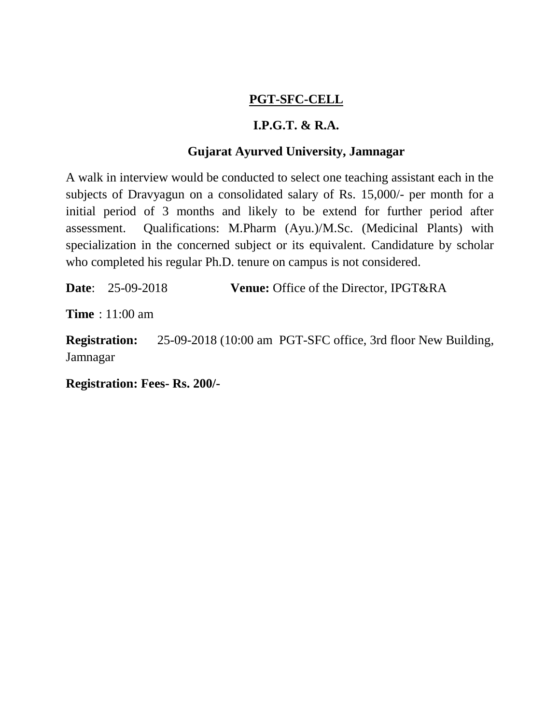## **PGT-SFC-CELL**

## **I.P.G.T. & R.A.**

## **Gujarat Ayurved University, Jamnagar**

A walk in interview would be conducted to select one teaching assistant each in the subjects of Dravyagun on a consolidated salary of Rs. 15,000/- per month for a initial period of 3 months and likely to be extend for further period after assessment. Qualifications: M.Pharm (Ayu.)/M.Sc. (Medicinal Plants) with specialization in the concerned subject or its equivalent. Candidature by scholar who completed his regular Ph.D. tenure on campus is not considered.

**Date**: 25-09-2018 **Venue:** Office of the Director, IPGT&RA

**Time** : 11:00 am

**Registration:** 25-09-2018 (10:00 am PGT-SFC office, 3rd floor New Building, Jamnagar

**Registration: Fees- Rs. 200/-**